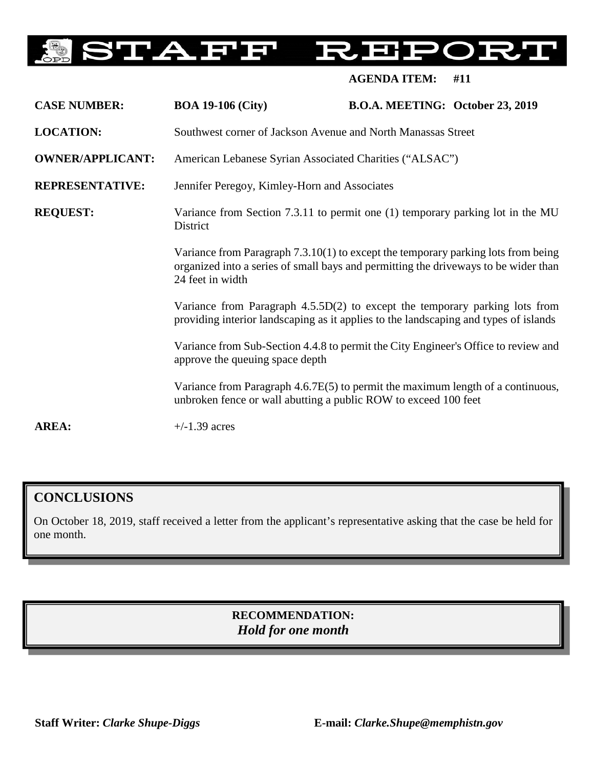#### **STAFF** RER )民

**AGENDA ITEM: #11**

| <b>CASE NUMBER:</b>     | <b>BOA 19-106 (City)</b>                                                                                                                                                                                                                                                                                                                                                                                                                                                                                                                                                                   | B.O.A. MEETING: October 23, 2019 |  |
|-------------------------|--------------------------------------------------------------------------------------------------------------------------------------------------------------------------------------------------------------------------------------------------------------------------------------------------------------------------------------------------------------------------------------------------------------------------------------------------------------------------------------------------------------------------------------------------------------------------------------------|----------------------------------|--|
| <b>LOCATION:</b>        | Southwest corner of Jackson Avenue and North Manassas Street                                                                                                                                                                                                                                                                                                                                                                                                                                                                                                                               |                                  |  |
| <b>OWNER/APPLICANT:</b> | American Lebanese Syrian Associated Charities ("ALSAC")                                                                                                                                                                                                                                                                                                                                                                                                                                                                                                                                    |                                  |  |
| <b>REPRESENTATIVE:</b>  | Jennifer Peregoy, Kimley-Horn and Associates                                                                                                                                                                                                                                                                                                                                                                                                                                                                                                                                               |                                  |  |
| <b>REQUEST:</b>         | Variance from Section 7.3.11 to permit one (1) temporary parking lot in the MU<br>District<br>Variance from Paragraph 7.3.10(1) to except the temporary parking lots from being<br>organized into a series of small bays and permitting the driveways to be wider than<br>24 feet in width<br>Variance from Paragraph 4.5.5D(2) to except the temporary parking lots from<br>providing interior landscaping as it applies to the landscaping and types of islands<br>Variance from Sub-Section 4.4.8 to permit the City Engineer's Office to review and<br>approve the queuing space depth |                                  |  |
|                         |                                                                                                                                                                                                                                                                                                                                                                                                                                                                                                                                                                                            |                                  |  |
|                         |                                                                                                                                                                                                                                                                                                                                                                                                                                                                                                                                                                                            |                                  |  |
|                         |                                                                                                                                                                                                                                                                                                                                                                                                                                                                                                                                                                                            |                                  |  |
|                         | Variance from Paragraph 4.6.7E(5) to permit the maximum length of a continuous,<br>unbroken fence or wall abutting a public ROW to exceed 100 feet                                                                                                                                                                                                                                                                                                                                                                                                                                         |                                  |  |
| <b>AREA:</b>            | $+/-1.39$ acres                                                                                                                                                                                                                                                                                                                                                                                                                                                                                                                                                                            |                                  |  |

## **CONCLUSIONS**

On October 18, 2019, staff received a letter from the applicant's representative asking that the case be held for one month.

> **RECOMMENDATION:** *Hold for one month*